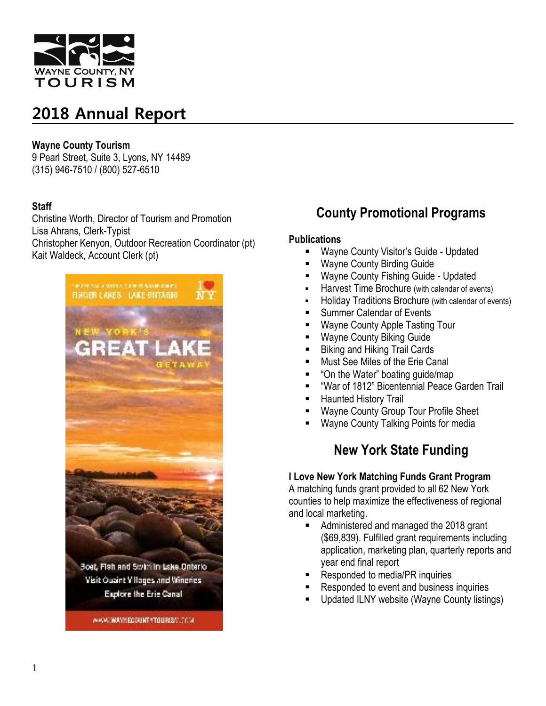

#### **Wayne County Tourism**

9 Pearl Street, Suite 3, Lyons, NY 14489 (315) 946-7510 / (800) 527-6510

#### **Staff**

Christine Worth, Director of Tourism and Promotion Lisa Ahrans, Clerk-Typist Christopher Kenyon, Outdoor Recreation Coordinator (pt) Kait Waldeck, Account Clerk (pt)



### **County Promotional Programs**

#### **Publications**

- Wayne County Visitor's Guide Updated
- Wayne County Birding Guide
- Wayne County Fishing Guide Updated
- **Harvest Time Brochure (with calendar of events)**
- Holiday Traditions Brochure (with calendar of events)
- Summer Calendar of Events
- Wayne County Apple Tasting Tour
- Wayne County Biking Guide
- **Biking and Hiking Trail Cards**
- **Must See Miles of the Erie Canal**
- "On the Water" boating quide/map
- "War of 1812" Bicentennial Peace Garden Trail
- Haunted History Trail
- Wayne County Group Tour Profile Sheet
- Wayne County Talking Points for media

### **New York State Funding**

### **I Love New York Matching Funds Grant Program**

A matching funds grant provided to all 62 New York counties to help maximize the effectiveness of regional and local marketing.

- Administered and managed the 2018 grant (\$69,839). Fulfilled grant requirements including application, marketing plan, quarterly reports and year end final report
- Responded to media/PR inquiries
- Responded to event and business inquiries
- Updated ILNY website (Wayne County listings)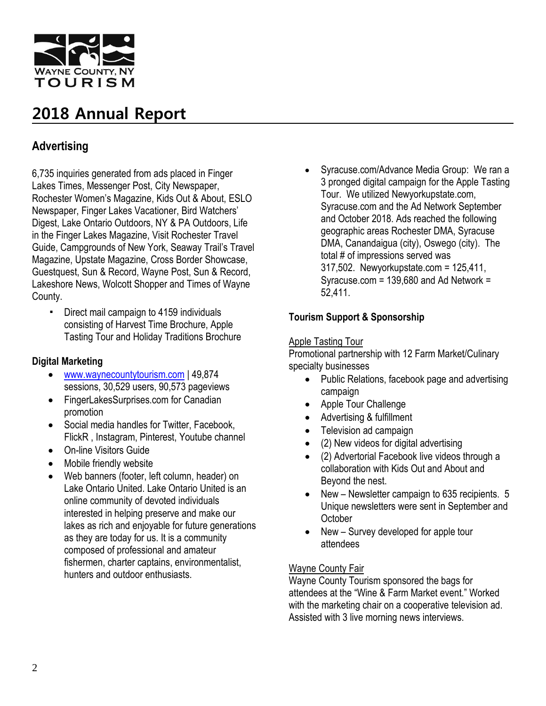

### **Advertising**

6,735 inquiries generated from ads placed in Finger Lakes Times, Messenger Post, City Newspaper, Rochester Women's Magazine, Kids Out & About, ESLO Newspaper, Finger Lakes Vacationer, Bird Watchers' Digest, Lake Ontario Outdoors, NY & PA Outdoors, Life in the Finger Lakes Magazine, Visit Rochester Travel Guide, Campgrounds of New York, Seaway Trail's Travel Magazine, Upstate Magazine, Cross Border Showcase, Guestquest, Sun & Record, Wayne Post, Sun & Record, Lakeshore News, Wolcott Shopper and Times of Wayne County.

▪ Direct mail campaign to 4159 individuals consisting of Harvest Time Brochure, Apple Tasting Tour and Holiday Traditions Brochure

#### **Digital Marketing**

- [www.waynecountytourism.com](http://www.waynecountytourism.com/) | 49,874 sessions, 30,529 users, 90,573 pageviews
- FingerLakesSurprises.com for Canadian promotion
- Social media handles for Twitter, Facebook, FlickR , Instagram, Pinterest, Youtube channel
- On-line Visitors Guide
- Mobile friendly website
- Web banners (footer, left column, header) on Lake Ontario United. Lake Ontario United is an online community of devoted individuals interested in helping preserve and make our lakes as rich and enjoyable for future generations as they are today for us. It is a community composed of professional and amateur fishermen, charter captains, environmentalist, hunters and outdoor enthusiasts.

 Syracuse.com/Advance Media Group: We ran a 3 pronged digital campaign for the Apple Tasting Tour. We utilized Newyorkupstate.com, Syracuse.com and the Ad Network September and October 2018. Ads reached the following geographic areas Rochester DMA, Syracuse DMA, Canandaigua (city), Oswego (city). The total # of impressions served was 317,502. Newyorkupstate.com = 125,411, Syracuse.com = 139,680 and Ad Network = 52,411.

#### **Tourism Support & Sponsorship**

#### Apple Tasting Tour

Promotional partnership with 12 Farm Market/Culinary specialty businesses

- Public Relations, facebook page and advertising campaign
- Apple Tour Challenge
- Advertising & fulfillment
- Television ad campaign
- (2) New videos for digital advertising
- (2) Advertorial Facebook live videos through a collaboration with Kids Out and About and Beyond the nest.
- New Newsletter campaign to 635 recipients. 5 Unique newsletters were sent in September and **October**
- New Survey developed for apple tour attendees

#### Wayne County Fair

Wayne County Tourism sponsored the bags for attendees at the "Wine & Farm Market event." Worked with the marketing chair on a cooperative television ad. Assisted with 3 live morning news interviews.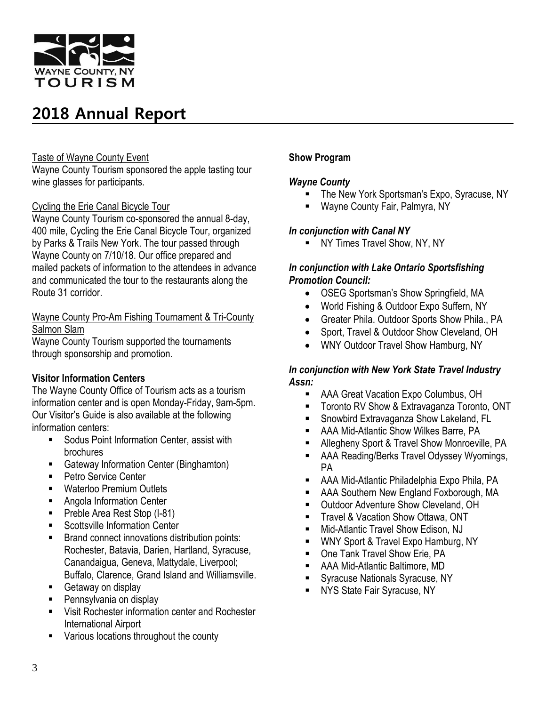

#### Taste of Wayne County Event

Wayne County Tourism sponsored the apple tasting tour wine glasses for participants.

#### Cycling the Erie Canal Bicycle Tour

Wayne County Tourism co-sponsored the annual 8-day, 400 mile, Cycling the Erie Canal Bicycle Tour, organized by Parks & Trails New York. The tour passed through Wayne County on 7/10/18. Our office prepared and mailed packets of information to the attendees in advance and communicated the tour to the restaurants along the Route 31 corridor.

Wayne County Pro-Am Fishing Tournament & Tri-County Salmon Slam

Wayne County Tourism supported the tournaments through sponsorship and promotion.

#### **Visitor Information Centers**

The Wayne County Office of Tourism acts as a tourism information center and is open Monday-Friday, 9am-5pm. Our Visitor's Guide is also available at the following information centers:

- **Sodus Point Information Center, assist with** brochures
- **Gateway Information Center (Binghamton)**
- Petro Service Center
- **Naterloo Premium Outlets**
- Angola Information Center
- Preble Area Rest Stop (I-81)
- Scottsville Information Center
- Brand connect innovations distribution points: Rochester, Batavia, Darien, Hartland, Syracuse, Canandaigua, Geneva, Mattydale, Liverpool; Buffalo, Clarence, Grand Island and Williamsville.
- Getaway on display
- Pennsylvania on display
- **Visit Rochester information center and Rochester** International Airport
- **Various locations throughout the county**

#### **Show Program**

#### *Wayne County*

- The New York Sportsman's Expo, Syracuse, NY
- Wayne County Fair, Palmyra, NY

#### *In conjunction with Canal NY*

**NY Times Travel Show, NY, NY** 

#### *In conjunction with Lake Ontario Sportsfishing Promotion Council:*

- OSEG Sportsman's Show Springfield, MA
- World Fishing & Outdoor Expo Suffern, NY
- Greater Phila. Outdoor Sports Show Phila., PA
- Sport, Travel & Outdoor Show Cleveland, OH
- WNY Outdoor Travel Show Hamburg, NY

#### *In conjunction with New York State Travel Industry Assn:*

- AAA Great Vacation Expo Columbus, OH
- **Toronto RV Show & Extravaganza Toronto, ONT**
- Snowbird Extravaganza Show Lakeland, FL
- AAA Mid-Atlantic Show Wilkes Barre, PA
- **Allegheny Sport & Travel Show Monroeville, PA**
- **AAA Reading/Berks Travel Odyssey Wyomings,** PA
- AAA Mid-Atlantic Philadelphia Expo Phila, PA
- AAA Southern New England Foxborough, MA
- **Dutdoor Adventure Show Cleveland, OH**
- **Travel & Vacation Show Ottawa, ONT**
- Mid-Atlantic Travel Show Edison, NJ
- WNY Sport & Travel Expo Hamburg, NY
- **Dreadler Travel Show Erie, PA**
- AAA Mid-Atlantic Baltimore, MD
- **Syracuse Nationals Syracuse, NY**
- **NYS State Fair Syracuse, NY**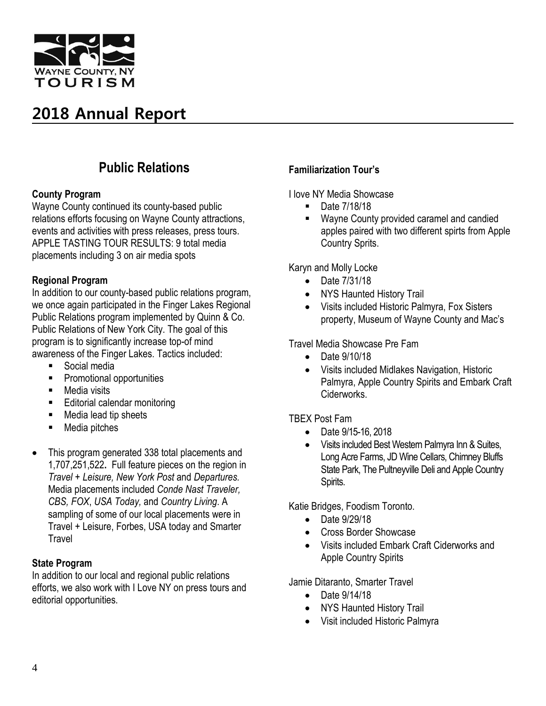

### **Public Relations**

#### **County Program**

Wayne County continued its county-based public relations efforts focusing on Wayne County attractions, events and activities with press releases, press tours. APPLE TASTING TOUR RESULTS: 9 total media placements including 3 on air media spots

#### **Regional Program**

In addition to our county-based public relations program, we once again participated in the Finger Lakes Regional Public Relations program implemented by Quinn & Co. Public Relations of New York City. The goal of this program is to significantly increase top-of mind awareness of the Finger Lakes. Tactics included:

- Social media
- **Promotional opportunities**
- Media visits
- **Editorial calendar monitoring**
- Media lead tip sheets
- Media pitches
- This program generated 338 total placements and 1,707,251,522**.** Full feature pieces on the region in *Travel + Leisure, New York Post* and *Departures.*  Media placements included *Conde Nast Traveler, CBS, FOX*, *USA Today,* and *Country Living*. A sampling of some of our local placements were in Travel + Leisure, Forbes, USA today and Smarter Travel

#### **State Program**

In addition to our local and regional public relations efforts, we also work with I Love NY on press tours and editorial opportunities.

#### **Familiarization Tour's**

I love NY Media Showcase

- Date 7/18/18
- **Wayne County provided caramel and candied** apples paired with two different spirts from Apple Country Sprits.

Karyn and Molly Locke

- Date 7/31/18
- NYS Haunted History Trail
- Visits included Historic Palmyra, Fox Sisters property, Museum of Wayne County and Mac's

Travel Media Showcase Pre Fam

- Date 9/10/18
- Visits included Midlakes Navigation, Historic Palmyra, Apple Country Spirits and Embark Craft **Ciderworks**

#### TBEX Post Fam

- Date 9/15-16, 2018
- Visits included Best Western Palmyra Inn & Suites, Long Acre Farms, JD Wine Cellars, Chimney Bluffs State Park, The Pultneyville Deli and Apple Country Spirits.

Katie Bridges, Foodism Toronto.

- Date 9/29/18
- Cross Border Showcase
- Visits included Embark Craft Ciderworks and Apple Country Spirits

Jamie Ditaranto, Smarter Travel

- Date 9/14/18
- NYS Haunted History Trail
- Visit included Historic Palmyra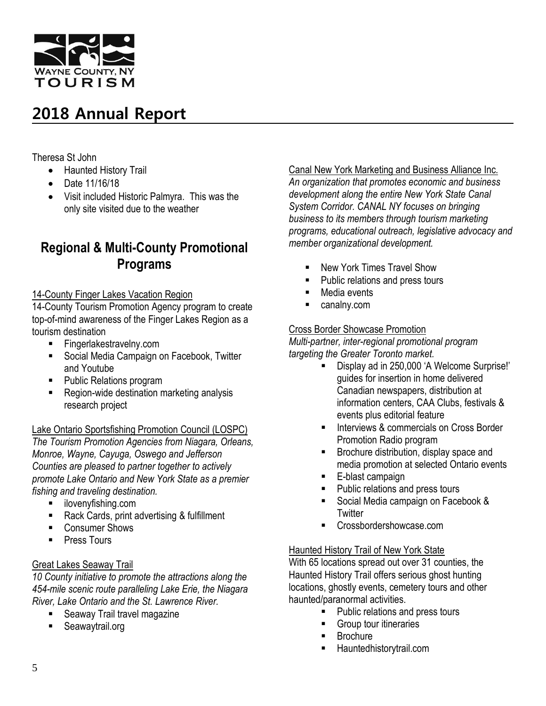

Theresa St John

- Haunted History Trail
- Date 11/16/18
- Visit included Historic Palmyra. This was the only site visited due to the weather

### **Regional & Multi-County Promotional Programs**

#### 14-County Finger Lakes Vacation Region

14-County Tourism Promotion Agency program to create top-of-mind awareness of the Finger Lakes Region as a tourism destination

- Fingerlakestravelny.com
- **Social Media Campaign on Facebook, Twitter** and Youtube
- **Public Relations program**
- Region-wide destination marketing analysis research project

#### Lake Ontario Sportsfishing Promotion Council (LOSPC)

*The Tourism Promotion Agencies from Niagara, Orleans, Monroe, Wayne, Cayuga, Oswego and Jefferson Counties are pleased to partner together to actively promote Lake Ontario and New York State as a premier fishing and traveling destination.*

- **i** ilovenyfishing.com
- Rack Cards, print advertising & fulfillment
- Consumer Shows
- **Press Tours**

#### Great Lakes Seaway Trail

*10 County initiative to promote the attractions along the 454-mile scenic route paralleling Lake Erie, the Niagara River, Lake Ontario and the St. Lawrence River.*

- Seaway Trail travel magazine
- **Seawaytrail.org**

#### Canal New York Marketing and Business Alliance Inc.

*An organization that promotes economic and business development along the entire New York State Canal System Corridor. CANAL NY focuses on bringing business to its members through tourism marketing programs, educational outreach, legislative advocacy and member organizational development.*

- New York Times Travel Show
- **Public relations and press tours**
- Media events
- **canalny.com**

#### Cross Border Showcase Promotion

*Multi-partner, inter-regional promotional program targeting the Greater Toronto market.*

- Display ad in 250,000 'A Welcome Surprise!' guides for insertion in home delivered Canadian newspapers, distribution at information centers, CAA Clubs, festivals & events plus editorial feature
- **Interviews & commercials on Cross Border** Promotion Radio program
- **Brochure distribution, display space and** media promotion at selected Ontario events
- E-blast campaign
- **Public relations and press tours**
- Social Media campaign on Facebook & **Twitter**
- Crossbordershowcase.com

#### Haunted History Trail of New York State

With 65 locations spread out over 31 counties, the Haunted History Trail offers serious ghost hunting locations, ghostly events, cemetery tours and other haunted/paranormal activities.

- Public relations and press tours
- **Group tour itineraries**
- Brochure
- **Hauntedhistorytrail.com**